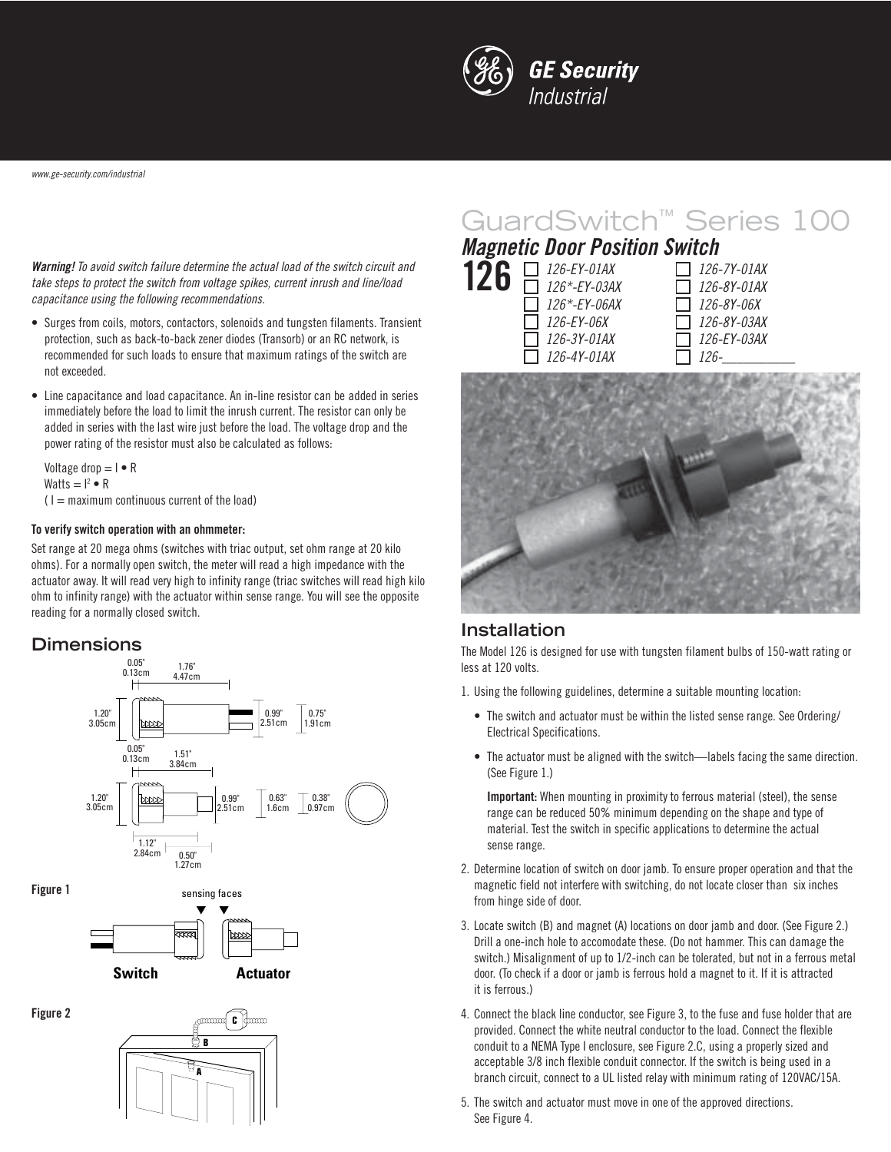

www.ge-security.com/industrial

**Warning!** To avoid switch failure determine the actual load of the switch circuit and take steps to protect the switch from voltage spikes, current inrush and line/load capacitance using the following recommendations.

- Surges from coils, motors, contactors, solenoids and tungsten filaments. Transient protection, such as back-to-back zener diodes (Transorb) or an RC network, is recommended for such loads to ensure that maximum ratings of the switch are not exceeded.
- Line capacitance and load capacitance. An in-line resistor can be added in series immediately before the load to limit the inrush current. The resistor can only be added in series with the last wire just before the load. The voltage drop and the power rating of the resistor must also be calculated as follows:

Voltage drop  $= I \cdot R$ Watts  $= I^2 \bullet R$  $(1 =$  maximum continuous current of the load)

#### **To verify switch operation with an ohmmeter:**

Set range at 20 mega ohms (switches with triac output, set ohm range at 20 kilo ohms). For a normally open switch, the meter will read a high impedance with the actuator away. It will read very high to infinity range (triac switches will read high kilo ohm to infinity range) with the actuator within sense range. You will see the opposite reading for a normally closed switch.

### **Dimensions**



# GuardSwitch™ Series 100

## **Magnetic Door Position Switch**

| 26 | $\Box$ 126-EY-01AX  |
|----|---------------------|
|    | $\Box$ 126*-EY-03AX |
|    | 126*-EY-06AX        |
|    | 126-EY-06X          |
|    | 126-3Y-01AX         |
|    | $\Box$ 126-4Y-01AX  |

| <i>126-7Y-01AX</i> |
|--------------------|
| 126-8Y-01AX        |
| <i>126-8Y-06X</i>  |
| $\Box$ 126-8Y-03AX |
|                    |
| 1126-              |



### **Installation**

The Model 126 is designed for use with tungsten filament bulbs of 150-watt rating or less at 120 volts.

- 1. Using the following guidelines, determine a suitable mounting location:
	- The switch and actuator must be within the listed sense range. See Ordering/ Electrical Specifications.
	- The actuator must be aligned with the switch—labels facing the same direction. (See Figure 1.)

**Important:** When mounting in proximity to ferrous material (steel), the sense range can be reduced 50% minimum depending on the shape and type of material. Test the switch in specific applications to determine the actual sense range.

- 2. Determine location of switch on door jamb. To ensure proper operation and that the magnetic field not interfere with switching, do not locate closer than six inches from hinge side of door.
- 3. Locate switch (B) and magnet (A) locations on door jamb and door. (See Figure 2.) Drill a one-inch hole to accomodate these. (Do not hammer. This can damage the switch.) Misalignment of up to 1/2-inch can be tolerated, but not in a ferrous metal door. (To check if a door or jamb is ferrous hold a magnet to it. If it is attracted it is ferrous.)
- 4. Connect the black line conductor, see Figure 3, to the fuse and fuse holder that are provided. Connect the white neutral conductor to the load. Connect the flexible conduit to a NEMA Type I enclosure, see Figure 2.C, using a properly sized and acceptable 3/8 inch flexible conduit connector. If the switch is being used in a branch circuit, connect to a UL listed relay with minimum rating of 120VAC/15A.
- 5. The switch and actuator must move in one of the approved directions. See Figure 4.

**Figure 2**